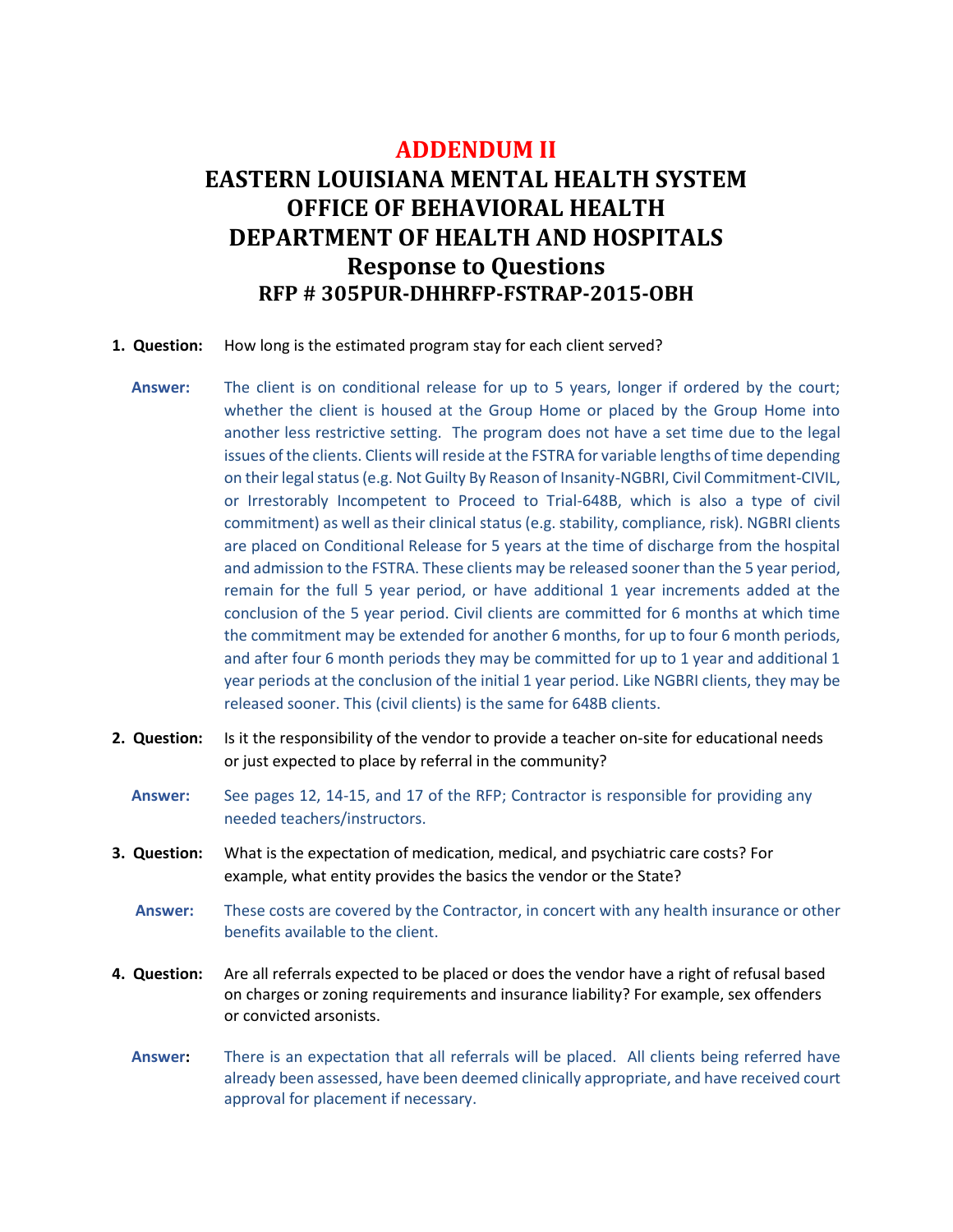## **ADDENDUM II EASTERN LOUISIANA MENTAL HEALTH SYSTEM OFFICE OF BEHAVIORAL HEALTH DEPARTMENT OF HEALTH AND HOSPITALS Response to Questions RFP # 305PUR-DHHRFP-FSTRAP-2015-OBH**

- **1. Question:** How long is the estimated program stay for each client served?
	- **Answer:** The client is on conditional release for up to 5 years, longer if ordered by the court; whether the client is housed at the Group Home or placed by the Group Home into another less restrictive setting. The program does not have a set time due to the legal issues of the clients. Clients will reside at the FSTRA for variable lengths of time depending on their legal status (e.g. Not Guilty By Reason of Insanity-NGBRI, Civil Commitment-CIVIL, or Irrestorably Incompetent to Proceed to Trial-648B, which is also a type of civil commitment) as well as their clinical status (e.g. stability, compliance, risk). NGBRI clients are placed on Conditional Release for 5 years at the time of discharge from the hospital and admission to the FSTRA. These clients may be released sooner than the 5 year period, remain for the full 5 year period, or have additional 1 year increments added at the conclusion of the 5 year period. Civil clients are committed for 6 months at which time the commitment may be extended for another 6 months, for up to four 6 month periods, and after four 6 month periods they may be committed for up to 1 year and additional 1 year periods at the conclusion of the initial 1 year period. Like NGBRI clients, they may be released sooner. This (civil clients) is the same for 648B clients.
- **2. Question:** Is it the responsibility of the vendor to provide a teacher on-site for educational needs or just expected to place by referral in the community?
	- **Answer:** See pages 12, 14-15, and 17 of the RFP; Contractor is responsible for providing any needed teachers/instructors.
- **3. Question:** What is the expectation of medication, medical, and psychiatric care costs? For example, what entity provides the basics the vendor or the State?
	- **Answer:** These costs are covered by the Contractor, in concert with any health insurance or other benefits available to the client.
- **4. Question:** Are all referrals expected to be placed or does the vendor have a right of refusal based on charges or zoning requirements and insurance liability? For example, sex offenders or convicted arsonists.
	- **Answer:** There is an expectation that all referrals will be placed. All clients being referred have already been assessed, have been deemed clinically appropriate, and have received court approval for placement if necessary.